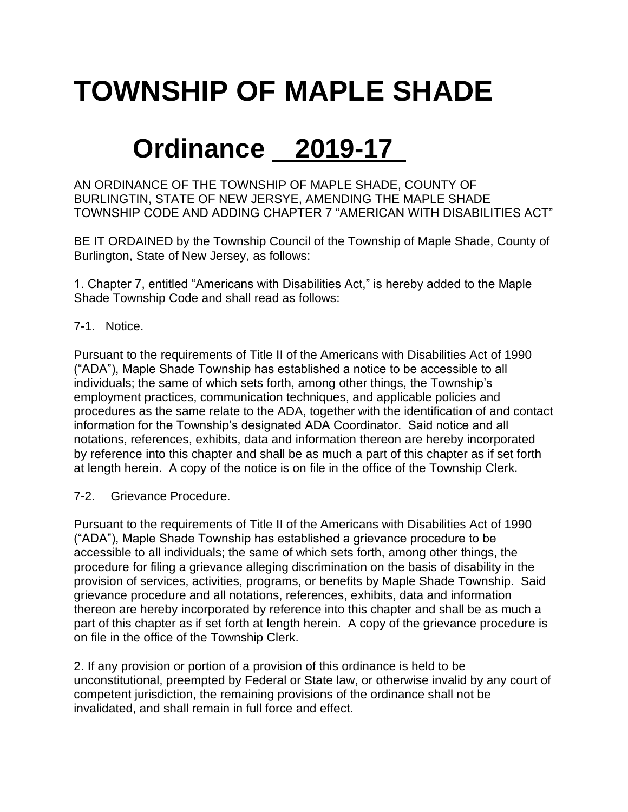# **TOWNSHIP OF MAPLE SHADE**

## **Ordinance 2019-17**

AN ORDINANCE OF THE TOWNSHIP OF MAPLE SHADE, COUNTY OF BURLINGTIN, STATE OF NEW JERSYE, AMENDING THE MAPLE SHADE TOWNSHIP CODE AND ADDING CHAPTER 7 "AMERICAN WITH DISABILITIES ACT"

BE IT ORDAINED by the Township Council of the Township of Maple Shade, County of Burlington, State of New Jersey, as follows:

1. Chapter 7, entitled "Americans with Disabilities Act," is hereby added to the Maple Shade Township Code and shall read as follows:

### 7-1. Notice.

Pursuant to the requirements of Title II of the Americans with Disabilities Act of 1990 ("ADA"), Maple Shade Township has established a notice to be accessible to all individuals; the same of which sets forth, among other things, the Township's employment practices, communication techniques, and applicable policies and procedures as the same relate to the ADA, together with the identification of and contact information for the Township's designated ADA Coordinator. Said notice and all notations, references, exhibits, data and information thereon are hereby incorporated by reference into this chapter and shall be as much a part of this chapter as if set forth at length herein. A copy of the notice is on file in the office of the Township Clerk.

7-2. Grievance Procedure.

Pursuant to the requirements of Title II of the Americans with Disabilities Act of 1990 ("ADA"), Maple Shade Township has established a grievance procedure to be accessible to all individuals; the same of which sets forth, among other things, the procedure for filing a grievance alleging discrimination on the basis of disability in the provision of services, activities, programs, or benefits by Maple Shade Township. Said grievance procedure and all notations, references, exhibits, data and information thereon are hereby incorporated by reference into this chapter and shall be as much a part of this chapter as if set forth at length herein. A copy of the grievance procedure is on file in the office of the Township Clerk.

2. If any provision or portion of a provision of this ordinance is held to be unconstitutional, preempted by Federal or State law, or otherwise invalid by any court of competent jurisdiction, the remaining provisions of the ordinance shall not be invalidated, and shall remain in full force and effect.